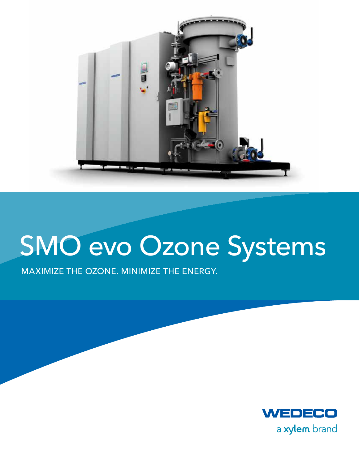

# SMO evo Ozone Systems

MAXIMIZE THE OZONE. MINIMIZE THE ENERGY.

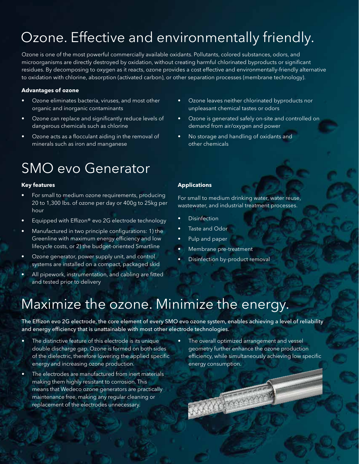## Ozone. Effective and environmentally friendly.

Ozone is one of the most powerful commercially available oxidants. Pollutants, colored substances, odors, and microorganisms are directly destroyed by oxidation, without creating harmful chlorinated byproducts or significant residues. By decomposing to oxygen as it reacts, ozone provides a cost effective and environmentally-friendly alternative to oxidation with chlorine, absorption (activated carbon), or other separation processes (membrane technology).

#### **Advantages of ozone**

- Ozone eliminates bacteria, viruses, and most other organic and inorganic contaminants
- • Ozone can replace and significantly reduce levels of dangerous chemicals such as chlorine
- • Ozone acts as a flocculant aiding in the removal of minerals such as iron and manganese

### SMO evo Generator

#### **Key features**

- For small to medium ozone requirements, producing 20 to 1,300 lbs. of ozone per day or 400g to 25kg per hour
- Equipped with Effizon® evo 2G electrode technology
- Manufactured in two principle configurations: 1) the Greenline with maximum energy efficiency and low lifecycle costs, or 2) the budget-oriented Smartline
- • Ozone generator, power supply unit, and control systems are installed on a compact, packaged skid
- All pipework, instrumentation, and cabling are fitted and tested prior to delivery
- Ozone leaves neither chlorinated byproducts nor unpleasant chemical tastes or odors
- • Ozone is generated safely on-site and controlled on demand from air/oxygen and power
- • No storage and handling of oxidants and other chemicals

#### **Applications**

For small to medium drinking water, water reuse, wastewater, and industrial treatment processes.

- **Disinfection**
- Taste and Odor
- Pulp and paper
- Membrane pre-treatment
- Disinfection by-product removal

**The France** 

### Maximize the ozone. Minimize the energy.

The Effizon evo 2G electrode, the core element of every SMO evo ozone system, enables achieving a level of reliability and energy efficiency that is unattainable with most other electrode technologies.

- The distinctive feature of this electrode is its unique double discharge gap. Ozone is formed on both sides of the dielectric, therefore lowering the applied specific energy and increasing ozone production.
- The electrodes are manufactured from inert materials making them highly resistant to corrosion. This means that Wedeco ozone generators are practically maintenance free, making any regular cleaning or replacement of the electrodes unnecessary.
- The overall optimized arrangement and vessel geometry further enhance the ozone production efficiency, while simultaneously achieving low specific energy consumption.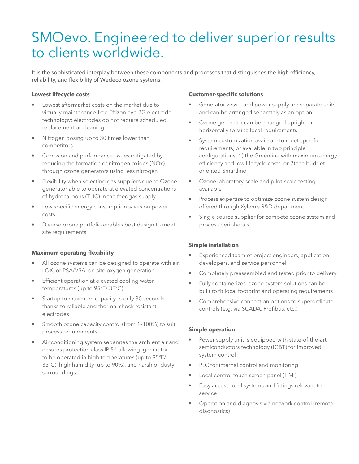### SMOevo. Engineered to deliver superior results to clients worldwide.

It is the sophisticated interplay between these components and processes that distinguishes the high efficiency, reliability, and flexibility of Wedeco ozone systems.

#### **Lowest lifecycle costs**

- Lowest aftermarket costs on the market due to virtually maintenance-free Effizon evo 2G electrode technology; electrodes do not require scheduled replacement or cleaning
- Nitrogen dosing up to 30 times lower than competitors
- Corrosion and performance issues mitigated by reducing the formation of nitrogen oxides (NOx) through ozone generators using less nitrogen
- Flexibility when selecting gas suppliers due to Ozone generator able to operate at elevated concentrations of hydrocarbons (THC) in the feedgas supply
- Low specific energy consumption saves on power costs
- Diverse ozone portfolio enables best design to meet site requirements

#### **Maximum operating flexibility**

- All ozone systems can be designed to operate with air, LOX, or PSA/VSA, on-site oxygen generation
- Efficient operation at elevated cooling water temperatures (up to 95ºF/ 35ºC)
- Startup to maximum capacity in only 30 seconds, thanks to reliable and thermal shock resistant electrodes
- Smooth ozone capacity control (from 1-100%) to suit process requirements
- Air conditioning system separates the ambient air and ensures protection class IP 54 allowing generator to be operated in high temperatures (up to 95ºF/ 35ºC), high humidity (up to 90%), and harsh or dusty surroundings.

#### **Customer-specific solutions**

- Generator vessel and power supply are separate units and can be arranged separately as an option
- • Ozone generator can be arranged upright or horizontally to suite local requirements
- • System customization available to meet specific requirements, or available in two principle configurations: 1) the Greenline with maximum energy efficiency and low lifecycle costs, or 2) the budgetoriented Smartline
- Ozone laboratory-scale and pilot-scale testing available
- Process expertise to optimize ozone system design offered through Xylem's R&D department
- Single source supplier for compete ozone system and process peripherals

#### **Simple installation**

- Experienced team of project engineers, application developers, and service personnel
- Completely preassembled and tested prior to delivery
- • Fully containerized ozone system solutions can be built to fit local footprint and operating requirements
- • Comprehensive connection options to superordinate controls (e.g. via SCADA, Profibus, etc.)

#### **Simple operation**

- Power supply unit is equipped with state-of-the-art semiconductors technology (IGBT) for improved system control
- PLC for internal control and monitoring
- • Local control touch screen panel (HMI)
- • Easy access to all systems and fittings relevant to service
- Operation and diagnosis via network control (remote diagnostics)